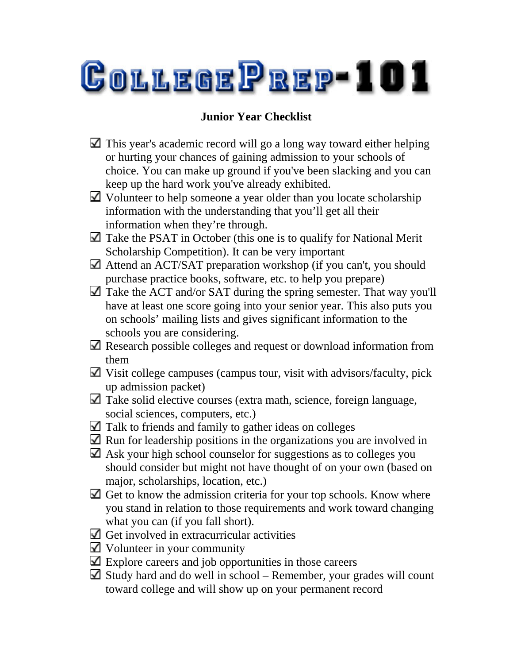

## **Junior Year Checklist**

- $\Box$  This year's academic record will go a long way toward either helping or hurting your chances of gaining admission to your schools of choice. You can make up ground if you've been slacking and you can keep up the hard work you've already exhibited.
- Volunteer to help someone a year older than you locate scholarship information with the understanding that you'll get all their information when they're through.
- $\Box$  Take the PSAT in October (this one is to qualify for National Merit Scholarship Competition). It can be very important
- Attend an ACT/SAT preparation workshop (if you can't, you should purchase practice books, software, etc. to help you prepare)
- Take the ACT and/or SAT during the spring semester. That way you'll have at least one score going into your senior year. This also puts you on schools' mailing lists and gives significant information to the schools you are considering.
- Research possible colleges and request or download information from them
- $\Box$  Visit college campuses (campus tour, visit with advisors/faculty, pick up admission packet)
- $\Box$  Take solid elective courses (extra math, science, foreign language, social sciences, computers, etc.)
- $\Box$  Talk to friends and family to gather ideas on colleges
- $\blacksquare$  Run for leadership positions in the organizations you are involved in
- $\Box$  Ask your high school counselor for suggestions as to colleges you should consider but might not have thought of on your own (based on major, scholarships, location, etc.)
- $\Box$  Get to know the admission criteria for your top schools. Know where you stand in relation to those requirements and work toward changing what you can (if you fall short).
- $\Box$  Get involved in extracurricular activities
- Volunteer in your community
- $\Box$  Explore careers and job opportunities in those careers
- $\Box$  Study hard and do well in school Remember, your grades will count toward college and will show up on your permanent record